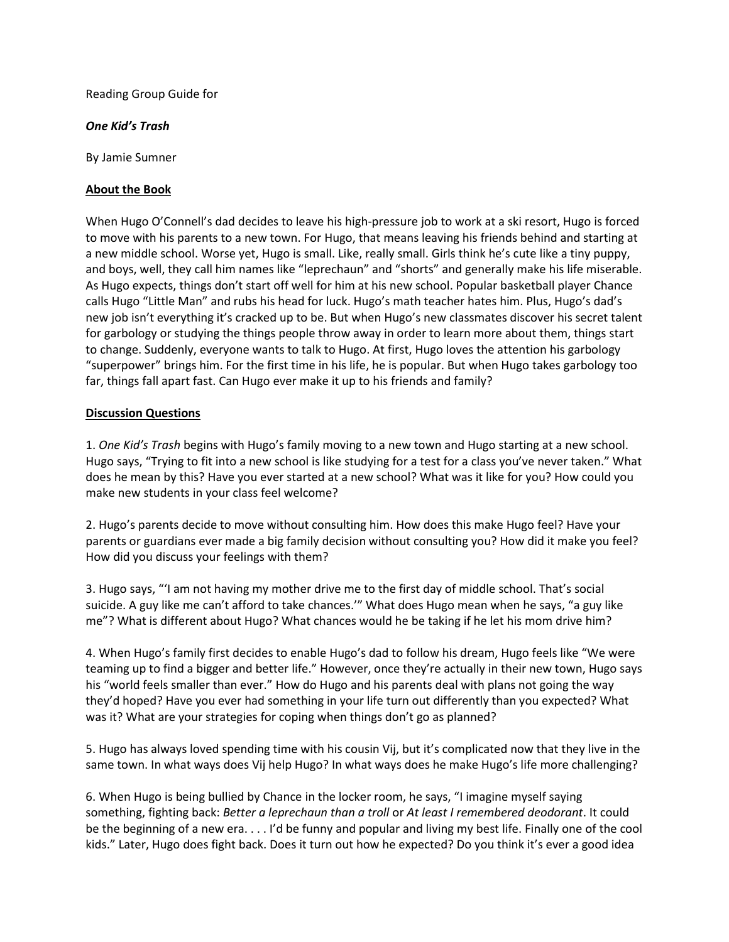Reading Group Guide for

## *One Kid's Trash*

By Jamie Sumner

## **About the Book**

When Hugo O'Connell's dad decides to leave his high-pressure job to work at a ski resort, Hugo is forced to move with his parents to a new town. For Hugo, that means leaving his friends behind and starting at a new middle school. Worse yet, Hugo is small. Like, really small. Girls think he's cute like a tiny puppy, and boys, well, they call him names like "leprechaun" and "shorts" and generally make his life miserable. As Hugo expects, things don't start off well for him at his new school. Popular basketball player Chance calls Hugo "Little Man" and rubs his head for luck. Hugo's math teacher hates him. Plus, Hugo's dad's new job isn't everything it's cracked up to be. But when Hugo's new classmates discover his secret talent for garbology or studying the things people throw away in order to learn more about them, things start to change. Suddenly, everyone wants to talk to Hugo. At first, Hugo loves the attention his garbology "superpower" brings him. For the first time in his life, he is popular. But when Hugo takes garbology too far, things fall apart fast. Can Hugo ever make it up to his friends and family?

## **Discussion Questions**

1. *One Kid's Trash* begins with Hugo's family moving to a new town and Hugo starting at a new school. Hugo says, "Trying to fit into a new school is like studying for a test for a class you've never taken." What does he mean by this? Have you ever started at a new school? What was it like for you? How could you make new students in your class feel welcome?

2. Hugo's parents decide to move without consulting him. How does this make Hugo feel? Have your parents or guardians ever made a big family decision without consulting you? How did it make you feel? How did you discuss your feelings with them?

3. Hugo says, "'I am not having my mother drive me to the first day of middle school. That's social suicide. A guy like me can't afford to take chances.'" What does Hugo mean when he says, "a guy like me"? What is different about Hugo? What chances would he be taking if he let his mom drive him?

4. When Hugo's family first decides to enable Hugo's dad to follow his dream, Hugo feels like "We were teaming up to find a bigger and better life." However, once they're actually in their new town, Hugo says his "world feels smaller than ever." How do Hugo and his parents deal with plans not going the way they'd hoped? Have you ever had something in your life turn out differently than you expected? What was it? What are your strategies for coping when things don't go as planned?

5. Hugo has always loved spending time with his cousin Vij, but it's complicated now that they live in the same town. In what ways does Vij help Hugo? In what ways does he make Hugo's life more challenging?

6. When Hugo is being bullied by Chance in the locker room, he says, "I imagine myself saying something, fighting back: *Better a leprechaun than a troll* or *At least I remembered deodorant*. It could be the beginning of a new era. . . . I'd be funny and popular and living my best life. Finally one of the cool kids." Later, Hugo does fight back. Does it turn out how he expected? Do you think it's ever a good idea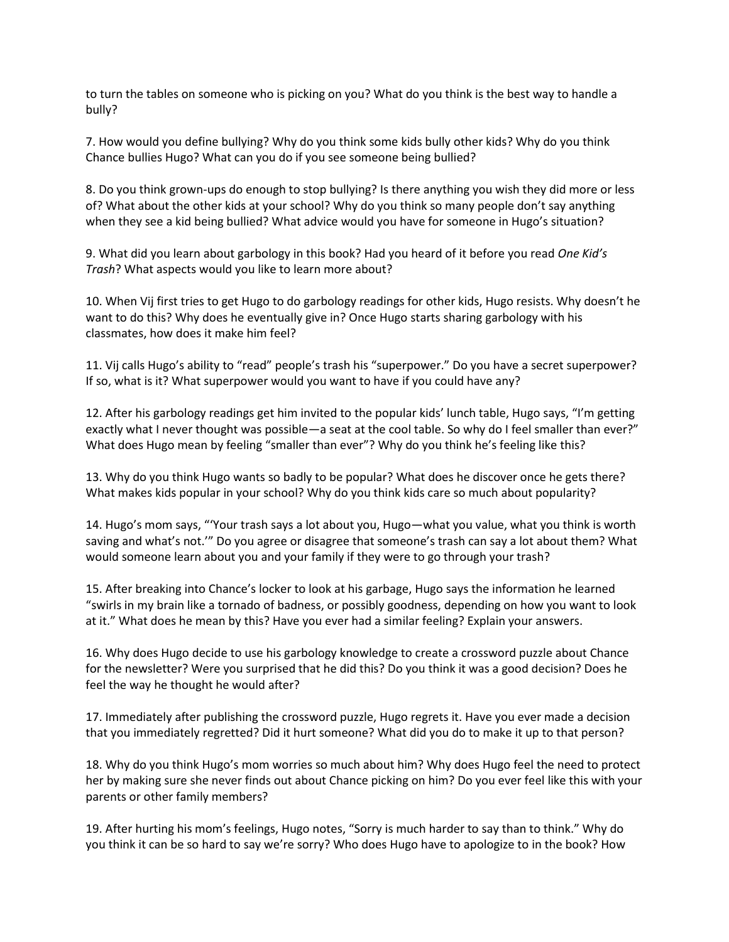to turn the tables on someone who is picking on you? What do you think is the best way to handle a bully?

7. How would you define bullying? Why do you think some kids bully other kids? Why do you think Chance bullies Hugo? What can you do if you see someone being bullied?

8. Do you think grown-ups do enough to stop bullying? Is there anything you wish they did more or less of? What about the other kids at your school? Why do you think so many people don't say anything when they see a kid being bullied? What advice would you have for someone in Hugo's situation?

9. What did you learn about garbology in this book? Had you heard of it before you read *One Kid's Trash*? What aspects would you like to learn more about?

10. When Vij first tries to get Hugo to do garbology readings for other kids, Hugo resists. Why doesn't he want to do this? Why does he eventually give in? Once Hugo starts sharing garbology with his classmates, how does it make him feel?

11. Vij calls Hugo's ability to "read" people's trash his "superpower." Do you have a secret superpower? If so, what is it? What superpower would you want to have if you could have any?

12. After his garbology readings get him invited to the popular kids' lunch table, Hugo says, "I'm getting exactly what I never thought was possible—a seat at the cool table. So why do I feel smaller than ever?" What does Hugo mean by feeling "smaller than ever"? Why do you think he's feeling like this?

13. Why do you think Hugo wants so badly to be popular? What does he discover once he gets there? What makes kids popular in your school? Why do you think kids care so much about popularity?

14. Hugo's mom says, "'Your trash says a lot about you, Hugo—what you value, what you think is worth saving and what's not.'" Do you agree or disagree that someone's trash can say a lot about them? What would someone learn about you and your family if they were to go through your trash?

15. After breaking into Chance's locker to look at his garbage, Hugo says the information he learned "swirls in my brain like a tornado of badness, or possibly goodness, depending on how you want to look at it." What does he mean by this? Have you ever had a similar feeling? Explain your answers.

16. Why does Hugo decide to use his garbology knowledge to create a crossword puzzle about Chance for the newsletter? Were you surprised that he did this? Do you think it was a good decision? Does he feel the way he thought he would after?

17. Immediately after publishing the crossword puzzle, Hugo regrets it. Have you ever made a decision that you immediately regretted? Did it hurt someone? What did you do to make it up to that person?

18. Why do you think Hugo's mom worries so much about him? Why does Hugo feel the need to protect her by making sure she never finds out about Chance picking on him? Do you ever feel like this with your parents or other family members?

19. After hurting his mom's feelings, Hugo notes, "Sorry is much harder to say than to think." Why do you think it can be so hard to say we're sorry? Who does Hugo have to apologize to in the book? How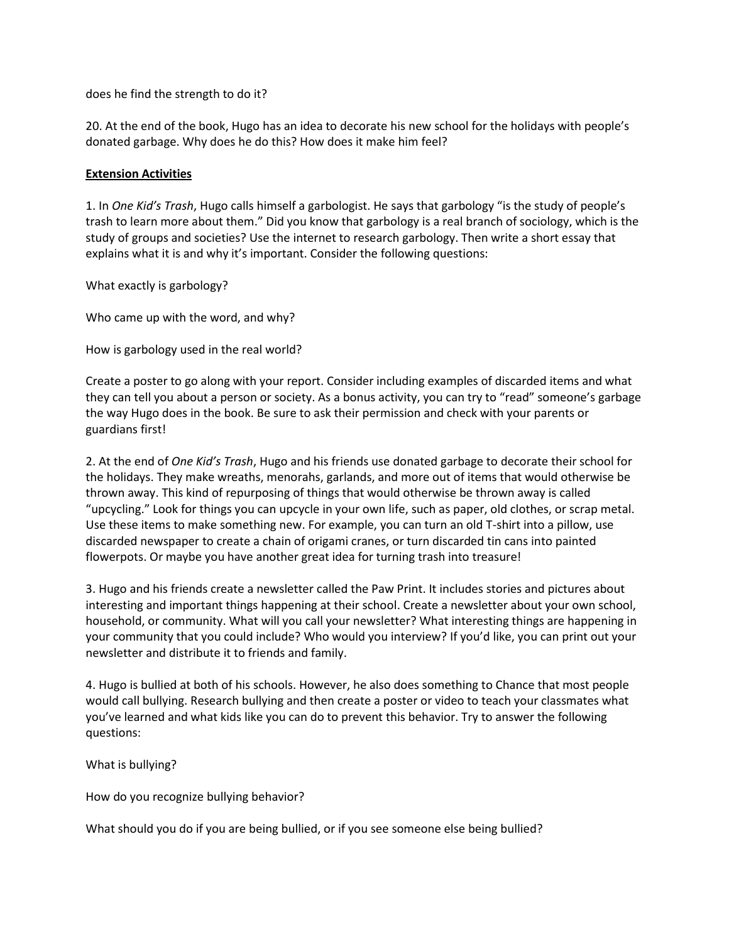does he find the strength to do it?

20. At the end of the book, Hugo has an idea to decorate his new school for the holidays with people's donated garbage. Why does he do this? How does it make him feel?

## **Extension Activities**

1. In *One Kid's Trash*, Hugo calls himself a garbologist. He says that garbology "is the study of people's trash to learn more about them." Did you know that garbology is a real branch of sociology, which is the study of groups and societies? Use the internet to research garbology. Then write a short essay that explains what it is and why it's important. Consider the following questions:

What exactly is garbology?

Who came up with the word, and why?

How is garbology used in the real world?

Create a poster to go along with your report. Consider including examples of discarded items and what they can tell you about a person or society. As a bonus activity, you can try to "read" someone's garbage the way Hugo does in the book. Be sure to ask their permission and check with your parents or guardians first!

2. At the end of *One Kid's Trash*, Hugo and his friends use donated garbage to decorate their school for the holidays. They make wreaths, menorahs, garlands, and more out of items that would otherwise be thrown away. This kind of repurposing of things that would otherwise be thrown away is called "upcycling." Look for things you can upcycle in your own life, such as paper, old clothes, or scrap metal. Use these items to make something new. For example, you can turn an old T-shirt into a pillow, use discarded newspaper to create a chain of origami cranes, or turn discarded tin cans into painted flowerpots. Or maybe you have another great idea for turning trash into treasure!

3. Hugo and his friends create a newsletter called the Paw Print. It includes stories and pictures about interesting and important things happening at their school. Create a newsletter about your own school, household, or community. What will you call your newsletter? What interesting things are happening in your community that you could include? Who would you interview? If you'd like, you can print out your newsletter and distribute it to friends and family.

4. Hugo is bullied at both of his schools. However, he also does something to Chance that most people would call bullying. Research bullying and then create a poster or video to teach your classmates what you've learned and what kids like you can do to prevent this behavior. Try to answer the following questions:

What is bullying?

How do you recognize bullying behavior?

What should you do if you are being bullied, or if you see someone else being bullied?